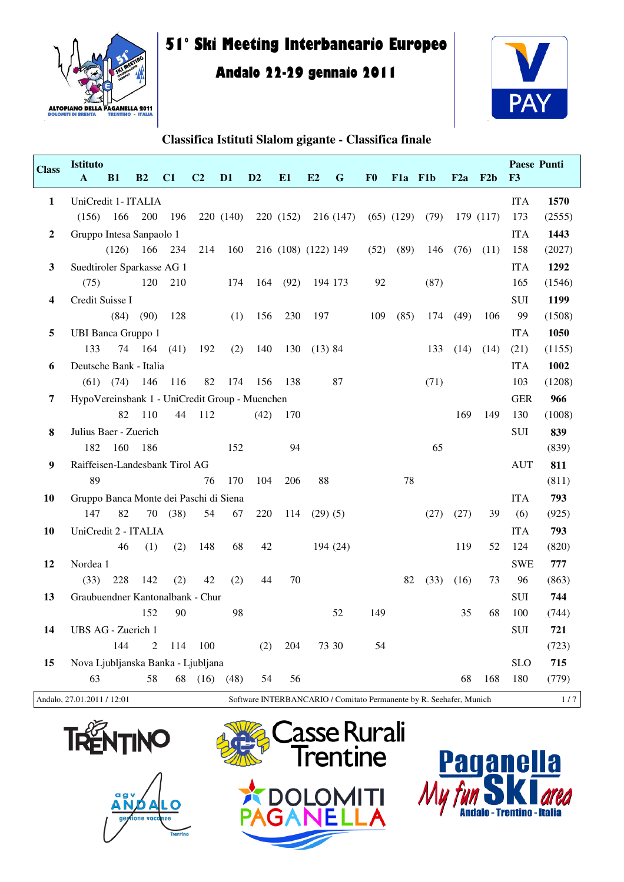

# **51° Ski Meeting Interbancario Europeo**

## **Andalo 22-29 gennaio 2011**



| <b>Class</b>   | <b>Istituto</b><br>A                                                                              | <b>B1</b> | B <sub>2</sub> | C1   | C <sub>2</sub> | D <sub>1</sub> | D <sub>2</sub> | E1                  | E2         | G         | F <sub>0</sub> | F <sub>1</sub> a | F1b  | F2a  | F2b       | Paese Punti<br>F3 |        |
|----------------|---------------------------------------------------------------------------------------------------|-----------|----------------|------|----------------|----------------|----------------|---------------------|------------|-----------|----------------|------------------|------|------|-----------|-------------------|--------|
| 1              | UniCredit 1- ITALIA                                                                               |           |                |      |                |                |                |                     |            |           |                |                  |      |      |           | <b>ITA</b>        | 1570   |
|                | (156)                                                                                             | 166       | 200            | 196  |                | 220 (140)      |                | 220 (152)           |            | 216 (147) |                | $(65)$ $(129)$   | (79) |      | 179 (117) | 173               | (2555) |
| $\overline{2}$ | Gruppo Intesa Sanpaolo 1                                                                          |           |                |      |                |                |                |                     |            |           |                |                  |      |      |           | <b>ITA</b>        | 1443   |
|                |                                                                                                   | (126)     | 166            | 234  | 214            | 160            |                | 216 (108) (122) 149 |            |           | (52)           | (89)             | 146  | (76) | (11)      | 158               | (2027) |
| 3              | Suedtiroler Sparkasse AG 1                                                                        |           |                |      |                |                |                |                     |            |           |                |                  |      |      |           | <b>ITA</b>        | 1292   |
|                | (75)                                                                                              |           | 120            | 210  |                | 174            | 164            | (92)                |            | 194 173   | 92             |                  | (87) |      |           | 165               | (1546) |
| 4              | Credit Suisse I                                                                                   |           |                |      |                |                |                |                     |            |           |                |                  |      |      |           | SUI               | 1199   |
|                |                                                                                                   | (84)      | (90)           | 128  |                | (1)            | 156            | 230                 | 197        |           | 109            | (85)             | 174  | (49) | 106       | 99                | (1508) |
| 5              | <b>UBI Banca Gruppo 1</b>                                                                         |           |                |      |                |                |                |                     |            |           |                |                  |      |      |           | <b>ITA</b>        | 1050   |
|                | 133                                                                                               | 74        | 164            | (41) | 192            | (2)            | 140            | 130                 | (13) 84    |           |                |                  | 133  | (14) | (14)      | (21)              | (1155) |
| 6              | Deutsche Bank - Italia                                                                            |           |                |      |                |                |                |                     |            |           |                |                  |      |      |           | <b>ITA</b>        | 1002   |
|                | (61)                                                                                              | (74)      | 146            | 116  | 82             | 174            | 156            | 138                 |            | 87        |                |                  | (71) |      |           | 103               | (1208) |
| 7              | HypoVereinsbank 1 - UniCredit Group - Muenchen                                                    |           |                |      |                |                |                |                     |            |           |                |                  |      |      |           | <b>GER</b>        | 966    |
|                |                                                                                                   | 82        | 110            | 44   | 112            |                | (42)           | 170                 |            |           |                |                  |      | 169  | 149       | 130               | (1008) |
| 8              | Julius Baer - Zuerich                                                                             |           |                |      |                |                |                |                     |            |           |                |                  |      |      |           | SUI               | 839    |
|                | 182                                                                                               | 160       | 186            |      |                | 152            |                | 94                  |            |           |                |                  | 65   |      |           |                   | (839)  |
| 9              | Raiffeisen-Landesbank Tirol AG                                                                    |           |                |      |                |                |                |                     |            |           |                |                  |      |      |           | <b>AUT</b>        | 811    |
|                | 89                                                                                                |           |                |      | 76             | 170            | 104            | 206                 | 88         |           |                | 78               |      |      |           |                   | (811)  |
| 10             | Gruppo Banca Monte dei Paschi di Siena                                                            |           |                |      |                |                |                |                     |            |           |                |                  |      |      |           | <b>ITA</b>        | 793    |
|                | 147                                                                                               | 82        | 70             | (38) | 54             | 67             | 220            | 114                 | $(29)$ (5) |           |                |                  | (27) | (27) | 39        | (6)               | (925)  |
| 10             | UniCredit 2 - ITALIA                                                                              |           |                |      |                |                |                |                     |            |           |                |                  |      |      |           | <b>ITA</b>        | 793    |
|                |                                                                                                   | 46        | (1)            | (2)  | 148            | 68             | 42             |                     |            | 194 (24)  |                |                  |      | 119  | 52        | 124               | (820)  |
| 12             | Nordea 1                                                                                          |           |                |      |                |                |                |                     |            |           |                |                  |      |      |           | <b>SWE</b>        | 777    |
|                | (33)                                                                                              | 228       | 142            | (2)  | 42             | (2)            | 44             | 70                  |            |           |                | 82               | (33) | (16) | 73        | 96                | (863)  |
| 13             | Graubuendner Kantonalbank - Chur                                                                  |           |                |      |                |                |                |                     |            |           |                |                  |      |      |           | <b>SUI</b>        | 744    |
|                |                                                                                                   |           | 152            | 90   |                | 98             |                |                     |            | 52        | 149            |                  |      | 35   | 68        | 100               | (744)  |
| 14             | UBS AG - Zuerich 1                                                                                |           |                |      |                |                |                |                     |            |           |                |                  |      |      |           | <b>SUI</b>        | 721    |
|                |                                                                                                   | 144       | 2              | 114  | 100            |                | (2)            | 204                 |            | 73 30     | 54             |                  |      |      |           |                   | (723)  |
| 15             | Nova Ljubljanska Banka - Ljubljana                                                                |           |                |      |                |                |                |                     |            |           |                |                  |      |      |           | <b>SLO</b>        | 715    |
|                | 63                                                                                                |           | 58             | 68   | (16)           | (48)           | 54             | 56                  |            |           |                |                  |      | 68   | 168       | 180               | (779)  |
|                | Andalo, 27.01.2011 / 12:01<br>Software INTERBANCARIO / Comitato Permanente by R. Seehafer, Munich |           |                |      |                |                |                |                     |            |           |                |                  |      | 1/7  |           |                   |        |







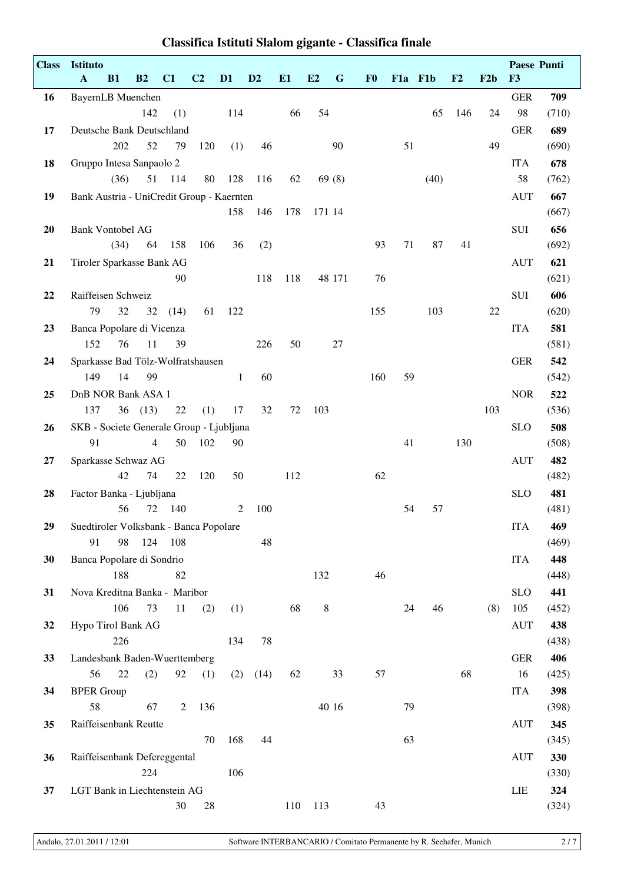| <b>Class</b> | Istituto<br>$\mathbf{A}$<br>B1                 | B2             | C1   | C <sub>2</sub> | D <sub>1</sub> | D <sub>2</sub> | E1  | E2     | $\mathbf G$ | F <sub>0</sub> | F1a F1b |      | $\mathbf{F2}$ | F2b | Paese Punti<br>F3 |              |
|--------------|------------------------------------------------|----------------|------|----------------|----------------|----------------|-----|--------|-------------|----------------|---------|------|---------------|-----|-------------------|--------------|
| 16           | BayernLB Muenchen                              |                |      |                |                |                |     |        |             |                |         |      |               |     | <b>GER</b>        | 709          |
|              |                                                | 142            | (1)  |                | 114            |                | 66  | 54     |             |                |         | 65   | 146           | 24  | 98                | (710)        |
| 17           | Deutsche Bank Deutschland                      |                |      |                |                |                |     |        |             |                |         |      |               |     | <b>GER</b>        | 689          |
|              | 202                                            | 52             | 79   | 120            | (1)            | 46             |     |        | 90          |                | 51      |      |               | 49  |                   | (690)        |
| 18           | Gruppo Intesa Sanpaolo 2                       |                |      |                |                |                |     |        |             |                |         |      |               |     | <b>ITA</b>        | 678          |
|              | (36)                                           | 51             | 114  | 80             | 128            | 116            | 62  |        | 69(8)       |                |         | (40) |               |     | 58                | (762)        |
| 19           | Bank Austria - UniCredit Group - Kaernten      |                |      |                |                |                |     |        |             |                |         |      |               |     | <b>AUT</b>        | 667          |
|              |                                                |                |      |                | 158            | 146            | 178 | 171 14 |             |                |         |      |               |     |                   | (667)        |
| 20           | <b>Bank Vontobel AG</b>                        |                |      |                |                |                |     |        |             |                |         |      |               |     | SUI               | 656          |
|              | (34)                                           | 64             | 158  | 106            | 36             | (2)            |     |        |             | 93             | 71      | 87   | 41            |     |                   | (692)        |
| 21           | Tiroler Sparkasse Bank AG                      |                |      |                |                |                |     |        |             |                |         |      |               |     | <b>AUT</b>        | 621          |
|              |                                                |                | 90   |                |                | 118            | 118 |        | 48 171      | 76             |         |      |               |     |                   | (621)        |
| 22           | Raiffeisen Schweiz                             |                |      |                |                |                |     |        |             |                |         |      |               |     | SUI               | 606          |
|              | 79<br>32                                       | 32             | (14) | 61             | 122            |                |     |        |             | 155            |         | 103  |               | 22  |                   | (620)        |
| 23           | Banca Popolare di Vicenza                      |                |      |                |                |                |     |        |             |                |         |      |               |     | <b>ITA</b>        | 581          |
|              | 152<br>76                                      | 11             | 39   |                |                | 226            | 50  |        | 27          |                |         |      |               |     |                   | (581)        |
| 24           | Sparkasse Bad Tölz-Wolfratshausen              |                |      |                |                |                |     |        |             |                |         |      |               |     | <b>GER</b>        | 542          |
|              | 149<br>14                                      | 99             |      |                | $\mathbf{1}$   | 60             |     |        |             | 160            | 59      |      |               |     |                   | (542)        |
| 25           | DnB NOR Bank ASA 1                             |                |      |                |                |                |     |        |             |                |         |      |               |     | <b>NOR</b>        | 522          |
|              | 137                                            | 36(13)         | 22   | (1)            | 17             | 32             | 72  | 103    |             |                |         |      |               | 103 |                   | (536)        |
| 26           | SKB - Societe Generale Group - Ljubljana<br>91 | $\overline{4}$ | 50   | 102            | 90             |                |     |        |             |                | 41      |      | 130           |     | <b>SLO</b>        | 508          |
|              |                                                |                |      |                |                |                |     |        |             |                |         |      |               |     |                   | (508)        |
| 27           | Sparkasse Schwaz AG<br>42                      | 74             | 22   | 120            | 50             |                | 112 |        |             | 62             |         |      |               |     | <b>AUT</b>        | 482<br>(482) |
| 28           | Factor Banka - Ljubljana                       |                |      |                |                |                |     |        |             |                |         |      |               |     | <b>SLO</b>        | 481          |
|              | 56                                             | 72             | 140  |                | 2              | 100            |     |        |             |                | 54      | 57   |               |     |                   | (481)        |
| 29           | Suedtiroler Volksbank - Banca Popolare         |                |      |                |                |                |     |        |             |                |         |      |               |     | <b>ITA</b>        | 469          |
|              | 91<br>98                                       | 124            | 108  |                |                | 48             |     |        |             |                |         |      |               |     |                   | (469)        |
| 30           | Banca Popolare di Sondrio                      |                |      |                |                |                |     |        |             |                |         |      |               |     | <b>ITA</b>        | 448          |
|              | 188                                            |                | 82   |                |                |                |     | 132    |             | 46             |         |      |               |     |                   | (448)        |
| 31           | Nova Kreditna Banka - Maribor                  |                |      |                |                |                |     |        |             |                |         |      |               |     | <b>SLO</b>        | 441          |
|              | 106                                            | 73             | 11   | (2)            | (1)            |                | 68  | $8\,$  |             |                | 24      | 46   |               | (8) | 105               | (452)        |
| 32           | Hypo Tirol Bank AG                             |                |      |                |                |                |     |        |             |                |         |      |               |     | <b>AUT</b>        | 438          |
|              | 226                                            |                |      |                | 134            | 78             |     |        |             |                |         |      |               |     |                   | (438)        |
| 33           | Landesbank Baden-Wuerttemberg                  |                |      |                |                |                |     |        |             |                |         |      |               |     | <b>GER</b>        | 406          |
|              | 56<br>22                                       | (2)            | 92   | (1)            |                | $(2)$ $(14)$   | 62  |        | 33          | 57             |         |      | 68            |     | 16                | (425)        |
| 34           | <b>BPER Group</b>                              |                |      |                |                |                |     |        |             |                |         |      |               |     | <b>ITA</b>        | 398          |
|              | 58                                             | 67             | 2    | 136            |                |                |     |        | 40 16       |                | 79      |      |               |     |                   | (398)        |
| 35           | Raiffeisenbank Reutte                          |                |      |                |                |                |     |        |             |                |         |      |               |     | <b>AUT</b>        | 345          |
|              |                                                |                |      | 70             | 168            | 44             |     |        |             |                | 63      |      |               |     |                   | (345)        |
| 36           | Raiffeisenbank Defereggental                   |                |      |                |                |                |     |        |             |                |         |      |               |     | <b>AUT</b>        | 330          |
|              |                                                | 224            |      |                | 106            |                |     |        |             |                |         |      |               |     |                   | (330)        |
| 37           | LGT Bank in Liechtenstein AG                   |                |      |                |                |                |     |        |             |                |         |      |               |     | LIE               | 324          |
|              |                                                |                | 30   | 28             |                |                | 110 | 113    |             | 43             |         |      |               |     |                   | (324)        |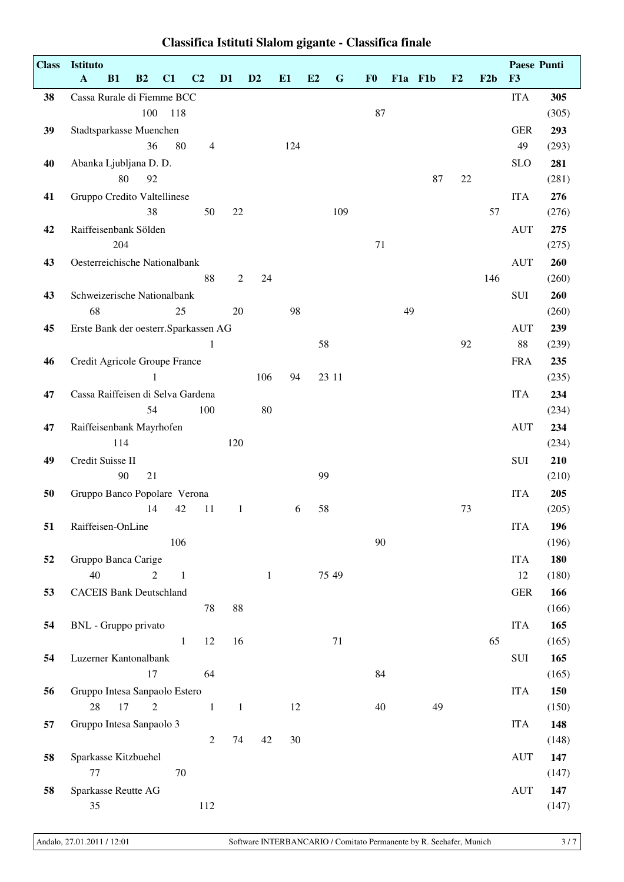| <b>Class</b> | Istituto                              |     |                |              |                |              |                |     |    |             |                |    |         |    |     |            | Paese Punti  |
|--------------|---------------------------------------|-----|----------------|--------------|----------------|--------------|----------------|-----|----|-------------|----------------|----|---------|----|-----|------------|--------------|
|              | $\mathbf{A}$<br>B1                    |     | B2             | C1           | C <sub>2</sub> | D1           | D <sub>2</sub> | E1  | E2 | $\mathbf G$ | F <sub>0</sub> |    | F1a F1b | F2 | F2b | F3         |              |
| 38           | Cassa Rurale di Fiemme BCC            |     |                |              |                |              |                |     |    |             |                |    |         |    |     | <b>ITA</b> | 305          |
|              |                                       |     | 100            | 118          |                |              |                |     |    |             | 87             |    |         |    |     |            | (305)        |
| 39           | Stadtsparkasse Muenchen               |     |                |              |                |              |                |     |    |             |                |    |         |    |     | <b>GER</b> | 293          |
|              |                                       |     | 36             | 80           | $\overline{4}$ |              |                | 124 |    |             |                |    |         |    |     | 49         | (293)        |
| 40           | Abanka Ljubljana D. D.                |     |                |              |                |              |                |     |    |             |                |    |         |    |     | <b>SLO</b> | 281          |
|              |                                       | 80  | 92             |              |                |              |                |     |    |             |                |    | 87      | 22 |     |            | (281)        |
| 41           | Gruppo Credito Valtellinese           |     |                |              |                |              |                |     |    |             |                |    |         |    |     | <b>ITA</b> | 276          |
|              |                                       |     | 38             |              | 50             | 22           |                |     |    | 109         |                |    |         |    | 57  |            | (276)        |
| 42           | Raiffeisenbank Sölden                 |     |                |              |                |              |                |     |    |             |                |    |         |    |     | <b>AUT</b> | 275          |
|              |                                       | 204 |                |              |                |              |                |     |    |             | 71             |    |         |    |     |            | (275)        |
| 43           | Oesterreichische Nationalbank         |     |                |              |                |              |                |     |    |             |                |    |         |    |     | <b>AUT</b> | 260          |
|              |                                       |     |                |              | 88             | $\mathbf{2}$ | 24             |     |    |             |                |    |         |    | 146 |            | (260)        |
| 43           | Schweizerische Nationalbank           |     |                |              |                |              |                |     |    |             |                |    |         |    |     | SUI        | 260          |
|              | 68                                    |     |                | 25           |                | 20           |                | 98  |    |             |                | 49 |         |    |     |            | (260)        |
| 45           | Erste Bank der oesterr. Sparkassen AG |     |                |              |                |              |                |     |    |             |                |    |         |    |     | <b>AUT</b> | 239          |
|              |                                       |     |                |              | $\mathbf{1}$   |              |                |     | 58 |             |                |    |         | 92 |     | 88         | (239)        |
| 46           | Credit Agricole Groupe France         |     |                |              |                |              |                |     |    |             |                |    |         |    |     | <b>FRA</b> | 235          |
|              |                                       |     | 1              |              |                |              | 106            | 94  |    | 23 11       |                |    |         |    |     |            | (235)        |
| 47           | Cassa Raiffeisen di Selva Gardena     |     |                |              |                |              |                |     |    |             |                |    |         |    |     | <b>ITA</b> | 234          |
|              |                                       |     | 54             |              | 100            |              | 80             |     |    |             |                |    |         |    |     |            | (234)        |
| 47           | Raiffeisenbank Mayrhofen              |     |                |              |                |              |                |     |    |             |                |    |         |    |     | <b>AUT</b> | 234          |
|              |                                       | 114 |                |              |                | 120          |                |     |    |             |                |    |         |    |     |            | (234)        |
| 49           | Credit Suisse II                      |     |                |              |                |              |                |     |    |             |                |    |         |    |     | SUI        | 210          |
|              |                                       | 90  | 21             |              |                |              |                |     | 99 |             |                |    |         |    |     |            | (210)        |
| 50           | Gruppo Banco Popolare Verona          |     |                |              |                |              |                |     |    |             |                |    |         |    |     | <b>ITA</b> | 205          |
|              |                                       |     | 14             | 42           | 11             | $\mathbf{1}$ |                | 6   | 58 |             |                |    |         | 73 |     |            | (205)        |
| 51           | Raiffeisen-OnLine                     |     |                |              |                |              |                |     |    |             |                |    |         |    |     | <b>ITA</b> | 196          |
|              |                                       |     |                | 106          |                |              |                |     |    |             | 90             |    |         |    |     |            | (196)        |
| 52           | Gruppo Banca Carige<br>40             |     | $\overline{2}$ |              |                |              |                |     |    | 75 49       |                |    |         |    |     | <b>ITA</b> | 180          |
|              |                                       |     |                | $\mathbf{1}$ |                |              | $\mathbf{1}$   |     |    |             |                |    |         |    |     | 12         | (180)        |
| 53           | <b>CACEIS Bank Deutschland</b>        |     |                |              | 78             | $88\,$       |                |     |    |             |                |    |         |    |     | <b>GER</b> | 166<br>(166) |
| 54           | BNL - Gruppo privato                  |     |                |              |                |              |                |     |    |             |                |    |         |    |     | <b>ITA</b> | 165          |
|              |                                       |     |                | $\mathbf{1}$ | 12             | 16           |                |     |    | 71          |                |    |         |    | 65  |            | (165)        |
| 54           | Luzerner Kantonalbank                 |     |                |              |                |              |                |     |    |             |                |    |         |    |     | SUI        | 165          |
|              |                                       |     | 17             |              | 64             |              |                |     |    |             | 84             |    |         |    |     |            | (165)        |
| 56           | Gruppo Intesa Sanpaolo Estero         |     |                |              |                |              |                |     |    |             |                |    |         |    |     | <b>ITA</b> | 150          |
|              | 28                                    | 17  | $\mathbf{2}$   |              | $\,1\,$        | $\mathbf{1}$ |                | 12  |    |             | 40             |    | 49      |    |     |            | (150)        |
| 57           | Gruppo Intesa Sanpaolo 3              |     |                |              |                |              |                |     |    |             |                |    |         |    |     | <b>ITA</b> | 148          |
|              |                                       |     |                |              | $\sqrt{2}$     | 74           | 42             | 30  |    |             |                |    |         |    |     |            | (148)        |
| 58           | Sparkasse Kitzbuehel                  |     |                |              |                |              |                |     |    |             |                |    |         |    |     | <b>AUT</b> | 147          |
|              | 77                                    |     |                | 70           |                |              |                |     |    |             |                |    |         |    |     |            | (147)        |
| 58           | Sparkasse Reutte AG                   |     |                |              |                |              |                |     |    |             |                |    |         |    |     | <b>AUT</b> | 147          |
|              | 35                                    |     |                |              | 112            |              |                |     |    |             |                |    |         |    |     |            | (147)        |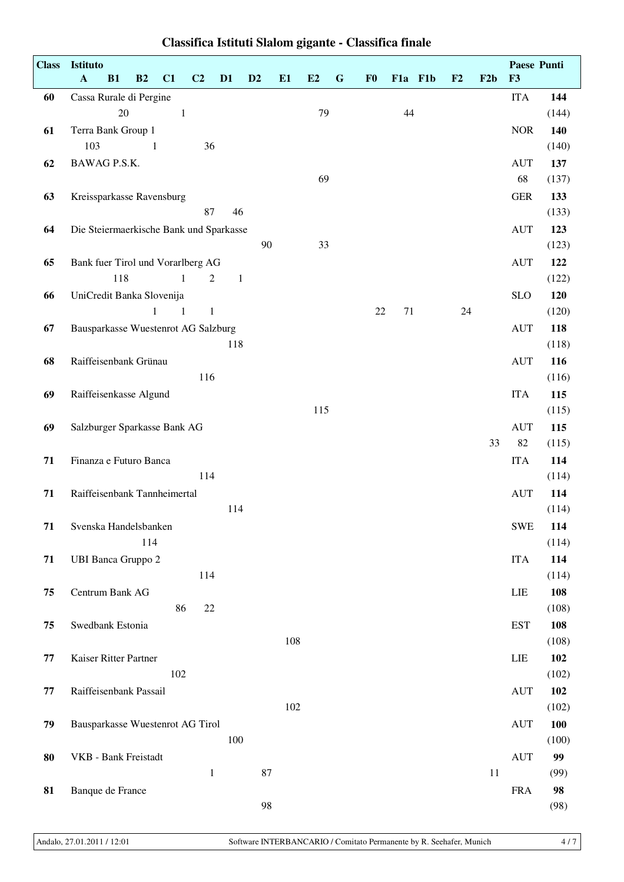| <b>Class</b> | Istituto<br>$\mathbf{A}$<br>B1<br>B2<br>C1<br>C <sub>2</sub><br>D1 | D <sub>2</sub> | E1  | E2  | $\mathbf G$ | F <sub>0</sub> | F1a F1b | F2 | F2b | Paese Punti<br>F3 |              |
|--------------|--------------------------------------------------------------------|----------------|-----|-----|-------------|----------------|---------|----|-----|-------------------|--------------|
| 60           | Cassa Rurale di Pergine                                            |                |     |     |             |                |         |    |     | <b>ITA</b>        | 144          |
|              | 20<br>$\mathbf{1}$                                                 |                |     | 79  |             |                | 44      |    |     |                   | (144)        |
| 61           | Terra Bank Group 1                                                 |                |     |     |             |                |         |    |     | <b>NOR</b>        | 140          |
|              | 103<br>36<br>1                                                     |                |     |     |             |                |         |    |     |                   | (140)        |
| 62           | BAWAG P.S.K.                                                       |                |     | 69  |             |                |         |    |     | <b>AUT</b><br>68  | 137<br>(137) |
| 63           | Kreissparkasse Ravensburg                                          |                |     |     |             |                |         |    |     | <b>GER</b>        | 133          |
|              | 87<br>46                                                           |                |     |     |             |                |         |    |     |                   | (133)        |
| 64           | Die Steiermaerkische Bank und Sparkasse                            |                |     |     |             |                |         |    |     | <b>AUT</b>        | 123          |
|              |                                                                    | 90             |     | 33  |             |                |         |    |     |                   | (123)        |
| 65           | Bank fuer Tirol und Vorarlberg AG                                  |                |     |     |             |                |         |    |     | <b>AUT</b>        | 122          |
|              | 118<br>$\mathbf{1}$<br>$\overline{2}$<br>$\mathbf{1}$              |                |     |     |             |                |         |    |     |                   | (122)        |
| 66           | UniCredit Banka Slovenija                                          |                |     |     |             |                |         |    |     | <b>SLO</b>        | 120          |
|              | $\mathbf{1}$<br>$\mathbf{1}$<br>$\overline{1}$                     |                |     |     |             | 22             | 71      | 24 |     |                   | (120)        |
| 67           | Bausparkasse Wuestenrot AG Salzburg                                |                |     |     |             |                |         |    |     | <b>AUT</b>        | 118          |
|              | 118                                                                |                |     |     |             |                |         |    |     |                   | (118)        |
| 68           | Raiffeisenbank Grünau<br>116                                       |                |     |     |             |                |         |    |     | <b>AUT</b>        | 116<br>(116) |
| 69           | Raiffeisenkasse Algund                                             |                |     |     |             |                |         |    |     | <b>ITA</b>        | 115          |
|              |                                                                    |                |     | 115 |             |                |         |    |     |                   | (115)        |
| 69           | Salzburger Sparkasse Bank AG                                       |                |     |     |             |                |         |    |     | <b>AUT</b>        | 115          |
|              |                                                                    |                |     |     |             |                |         |    | 33  | 82                | (115)        |
| 71           | Finanza e Futuro Banca                                             |                |     |     |             |                |         |    |     | <b>ITA</b>        | 114          |
|              | 114                                                                |                |     |     |             |                |         |    |     |                   | (114)        |
| 71           | Raiffeisenbank Tannheimertal                                       |                |     |     |             |                |         |    |     | <b>AUT</b>        | 114          |
|              | 114                                                                |                |     |     |             |                |         |    |     |                   | (114)        |
| 71           | Svenska Handelsbanken                                              |                |     |     |             |                |         |    |     | <b>SWE</b>        | 114          |
|              | 114                                                                |                |     |     |             |                |         |    |     |                   | (114)        |
| 71           | <b>UBI Banca Gruppo 2</b><br>114                                   |                |     |     |             |                |         |    |     | <b>ITA</b>        | 114<br>(114) |
| 75           | Centrum Bank AG                                                    |                |     |     |             |                |         |    |     | LIE               | 108          |
|              | 86<br>22                                                           |                |     |     |             |                |         |    |     |                   | (108)        |
| 75           | Swedbank Estonia                                                   |                |     |     |             |                |         |    |     | <b>EST</b>        | 108          |
|              |                                                                    |                | 108 |     |             |                |         |    |     |                   | (108)        |
| 77           | Kaiser Ritter Partner                                              |                |     |     |             |                |         |    |     | LIE               | 102          |
|              | 102                                                                |                |     |     |             |                |         |    |     |                   | (102)        |
| 77           | Raiffeisenbank Passail                                             |                |     |     |             |                |         |    |     | <b>AUT</b>        | 102          |
|              |                                                                    |                | 102 |     |             |                |         |    |     |                   | (102)        |
| 79           | Bausparkasse Wuestenrot AG Tirol                                   |                |     |     |             |                |         |    |     | <b>AUT</b>        | 100          |
|              | 100                                                                |                |     |     |             |                |         |    |     |                   | (100)        |
| 80           | VKB - Bank Freistadt                                               |                |     |     |             |                |         |    |     | <b>AUT</b>        | 99           |
| 81           | $\mathbf{1}$                                                       | 87             |     |     |             |                |         |    | 11  | <b>FRA</b>        | (99)<br>98   |
|              | Banque de France                                                   | 98             |     |     |             |                |         |    |     |                   | (98)         |
|              |                                                                    |                |     |     |             |                |         |    |     |                   |              |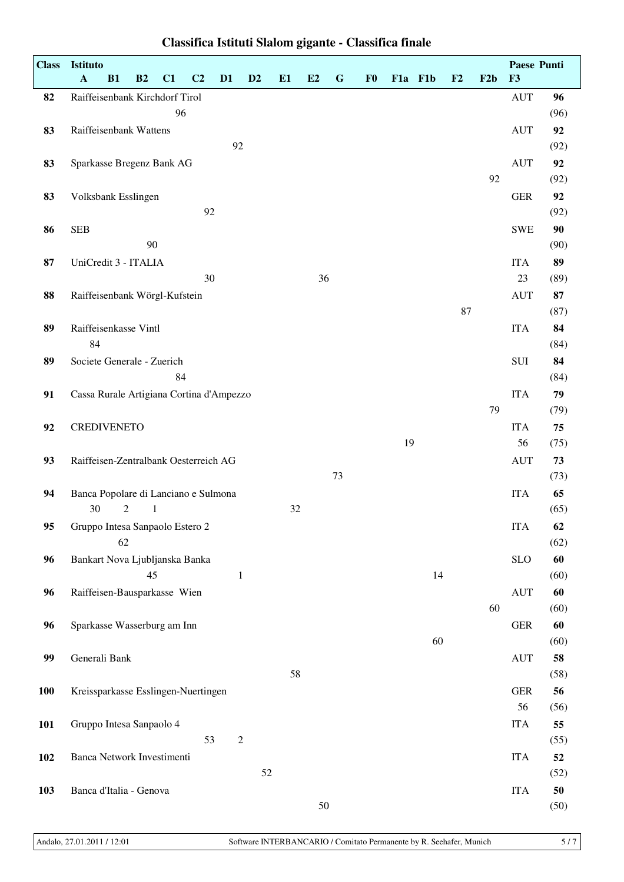| <b>Class</b> | Istituto                                 |              |    |                |              |                |    |    |             |                |         |    |    |     | Paese Punti |      |
|--------------|------------------------------------------|--------------|----|----------------|--------------|----------------|----|----|-------------|----------------|---------|----|----|-----|-------------|------|
|              | $\mathbf A$<br>B1                        | B2           | C1 | C <sub>2</sub> | D1           | D <sub>2</sub> | E1 | E2 | $\mathbf G$ | F <sub>0</sub> | F1a F1b |    | F2 | F2b | F3          |      |
| 82           | Raiffeisenbank Kirchdorf Tirol           |              |    |                |              |                |    |    |             |                |         |    |    |     | <b>AUT</b>  | 96   |
|              |                                          |              | 96 |                |              |                |    |    |             |                |         |    |    |     |             | (96) |
| 83           | Raiffeisenbank Wattens                   |              |    |                |              |                |    |    |             |                |         |    |    |     | <b>AUT</b>  | 92   |
|              |                                          |              |    |                | 92           |                |    |    |             |                |         |    |    |     |             | (92) |
| 83           | Sparkasse Bregenz Bank AG                |              |    |                |              |                |    |    |             |                |         |    |    |     | <b>AUT</b>  | 92   |
|              |                                          |              |    |                |              |                |    |    |             |                |         |    |    | 92  |             | (92) |
| 83           | Volksbank Esslingen                      |              |    |                |              |                |    |    |             |                |         |    |    |     | <b>GER</b>  | 92   |
|              |                                          |              |    | 92             |              |                |    |    |             |                |         |    |    |     |             | (92) |
| 86           | <b>SEB</b>                               |              |    |                |              |                |    |    |             |                |         |    |    |     | <b>SWE</b>  | 90   |
|              |                                          | 90           |    |                |              |                |    |    |             |                |         |    |    |     |             | (90) |
| 87           | UniCredit 3 - ITALIA                     |              |    |                |              |                |    |    |             |                |         |    |    |     | <b>ITA</b>  | 89   |
|              |                                          |              |    | 30             |              |                |    | 36 |             |                |         |    |    |     | 23          | (89) |
| 88           | Raiffeisenbank Wörgl-Kufstein            |              |    |                |              |                |    |    |             |                |         |    |    |     | <b>AUT</b>  | 87   |
|              |                                          |              |    |                |              |                |    |    |             |                |         |    | 87 |     |             | (87) |
| 89           | Raiffeisenkasse Vintl                    |              |    |                |              |                |    |    |             |                |         |    |    |     | <b>ITA</b>  | 84   |
|              | 84                                       |              |    |                |              |                |    |    |             |                |         |    |    |     |             | (84) |
| 89           | Societe Generale - Zuerich               |              |    |                |              |                |    |    |             |                |         |    |    |     | SUI         | 84   |
|              |                                          |              | 84 |                |              |                |    |    |             |                |         |    |    |     |             | (84) |
| 91           | Cassa Rurale Artigiana Cortina d'Ampezzo |              |    |                |              |                |    |    |             |                |         |    |    |     | <b>ITA</b>  | 79   |
|              |                                          |              |    |                |              |                |    |    |             |                |         |    |    | 79  |             | (79) |
| 92           | <b>CREDIVENETO</b>                       |              |    |                |              |                |    |    |             |                |         |    |    |     | <b>ITA</b>  | 75   |
|              |                                          |              |    |                |              |                |    |    |             |                | 19      |    |    |     | 56          | (75) |
| 93           | Raiffeisen-Zentralbank Oesterreich AG    |              |    |                |              |                |    |    |             |                |         |    |    |     | <b>AUT</b>  | 73   |
|              |                                          |              |    |                |              |                |    |    | 73          |                |         |    |    |     |             | (73) |
| 94           | Banca Popolare di Lanciano e Sulmona     |              |    |                |              |                |    |    |             |                |         |    |    |     | <b>ITA</b>  | 65   |
|              | 30<br>2                                  | $\mathbf{1}$ |    |                |              |                | 32 |    |             |                |         |    |    |     |             | (65) |
| 95           | Gruppo Intesa Sanpaolo Estero 2          |              |    |                |              |                |    |    |             |                |         |    |    |     | <b>ITA</b>  | 62   |
|              | 62                                       |              |    |                |              |                |    |    |             |                |         |    |    |     |             | (62) |
| 96           | Bankart Nova Ljubljanska Banka           |              |    |                |              |                |    |    |             |                |         |    |    |     | <b>SLO</b>  | 60   |
|              |                                          | 45           |    |                | $\mathbf{1}$ |                |    |    |             |                |         | 14 |    |     |             | (60) |
| 96           | Raiffeisen-Bausparkasse Wien             |              |    |                |              |                |    |    |             |                |         |    |    |     | <b>AUT</b>  | 60   |
|              |                                          |              |    |                |              |                |    |    |             |                |         |    |    | 60  |             | (60) |
| 96           | Sparkasse Wasserburg am Inn              |              |    |                |              |                |    |    |             |                |         |    |    |     | ${\tt GER}$ | 60   |
|              |                                          |              |    |                |              |                |    |    |             |                |         | 60 |    |     |             | (60) |
| 99           | Generali Bank                            |              |    |                |              |                |    |    |             |                |         |    |    |     | <b>AUT</b>  | 58   |
|              |                                          |              |    |                |              |                | 58 |    |             |                |         |    |    |     |             | (58) |
| <b>100</b>   | Kreissparkasse Esslingen-Nuertingen      |              |    |                |              |                |    |    |             |                |         |    |    |     | <b>GER</b>  | 56   |
|              |                                          |              |    |                |              |                |    |    |             |                |         |    |    |     | 56          | (56) |
| <b>101</b>   | Gruppo Intesa Sanpaolo 4                 |              |    |                |              |                |    |    |             |                |         |    |    |     | <b>ITA</b>  | 55   |
|              |                                          |              |    | 53             | $\sqrt{2}$   |                |    |    |             |                |         |    |    |     |             | (55) |
| 102          | Banca Network Investimenti               |              |    |                |              |                |    |    |             |                |         |    |    |     | <b>ITA</b>  | 52   |
|              |                                          |              |    |                |              | 52             |    |    |             |                |         |    |    |     |             | (52) |
| 103          | Banca d'Italia - Genova                  |              |    |                |              |                |    |    |             |                |         |    |    |     | <b>ITA</b>  | 50   |
|              |                                          |              |    |                |              |                |    | 50 |             |                |         |    |    |     |             | (50) |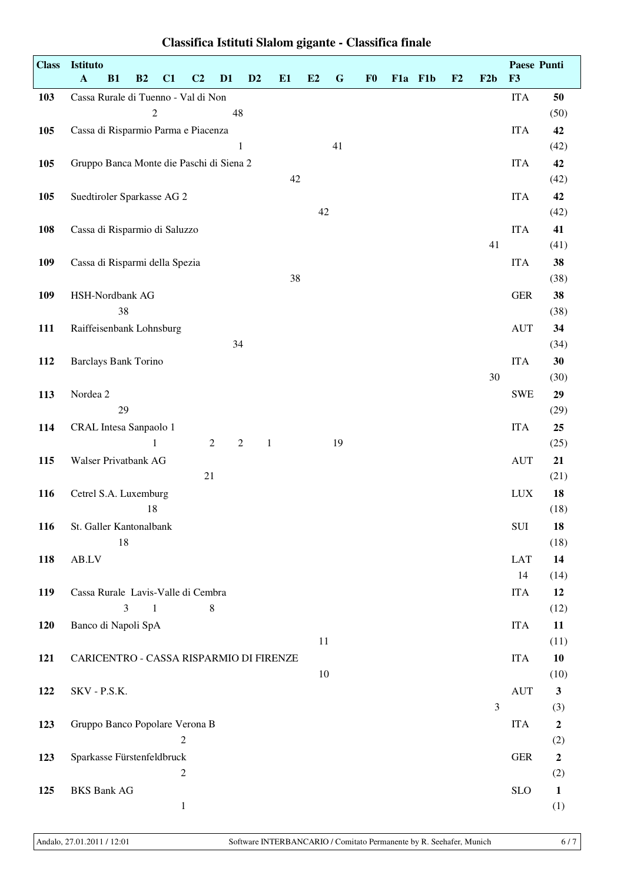| <b>Class</b> | Istituto<br>$\mathbf A$<br>B1            | B2             | C1           | C <sub>2</sub> | D <sub>1</sub> | D2         | E1           | E2     | ${\bf G}$ | F <sub>0</sub> | F1a F1b | F2 | F2b | F3         | Paese Punti         |
|--------------|------------------------------------------|----------------|--------------|----------------|----------------|------------|--------------|--------|-----------|----------------|---------|----|-----|------------|---------------------|
| 103          | Cassa Rurale di Tuenno - Val di Non      |                |              |                |                |            |              |        |           |                |         |    |     | <b>ITA</b> | 50                  |
|              |                                          | $\mathfrak{2}$ |              |                | 48             |            |              |        |           |                |         |    |     |            | (50)                |
| 105          | Cassa di Risparmio Parma e Piacenza      |                |              |                |                |            |              |        |           |                |         |    |     | <b>ITA</b> | 42                  |
|              |                                          |                |              |                |                | $\,1$      |              |        | 41        |                |         |    |     |            | (42)                |
| 105          | Gruppo Banca Monte die Paschi di Siena 2 |                |              |                |                |            |              |        |           |                |         |    |     | <b>ITA</b> | 42                  |
|              |                                          |                |              |                |                |            | 42           |        |           |                |         |    |     |            | (42)                |
| 105          | Suedtiroler Sparkasse AG 2               |                |              |                |                |            |              |        |           |                |         |    |     | <b>ITA</b> | 42                  |
|              |                                          |                |              |                |                |            |              | $42\,$ |           |                |         |    |     |            | (42)                |
| 108          | Cassa di Risparmio di Saluzzo            |                |              |                |                |            |              |        |           |                |         |    |     | <b>ITA</b> | 41                  |
|              |                                          |                |              |                |                |            |              |        |           |                |         |    | 41  |            | (41)                |
| 109          | Cassa di Risparmi della Spezia           |                |              |                |                |            |              |        |           |                |         |    |     | <b>ITA</b> | 38                  |
|              |                                          |                |              |                |                |            | 38           |        |           |                |         |    |     |            | (38)                |
| 109          | HSH-Nordbank AG<br>38                    |                |              |                |                |            |              |        |           |                |         |    |     | <b>GER</b> | 38                  |
| 111          | Raiffeisenbank Lohnsburg                 |                |              |                |                |            |              |        |           |                |         |    |     | <b>AUT</b> | (38)<br>34          |
|              |                                          |                |              |                | 34             |            |              |        |           |                |         |    |     |            | (34)                |
| 112          | <b>Barclays Bank Torino</b>              |                |              |                |                |            |              |        |           |                |         |    |     | <b>ITA</b> | 30                  |
|              |                                          |                |              |                |                |            |              |        |           |                |         |    | 30  |            | (30)                |
| 113          | Nordea 2                                 |                |              |                |                |            |              |        |           |                |         |    |     | <b>SWE</b> | 29                  |
|              | 29                                       |                |              |                |                |            |              |        |           |                |         |    |     |            | (29)                |
| 114          | CRAL Intesa Sanpaolo 1                   |                |              |                |                |            |              |        |           |                |         |    |     | <b>ITA</b> | 25                  |
|              |                                          | 1              |              |                | $\overline{c}$ | $\sqrt{2}$ | $\mathbf{1}$ |        | 19        |                |         |    |     |            | (25)                |
| 115          | Walser Privatbank AG                     |                |              |                |                |            |              |        |           |                |         |    |     | <b>AUT</b> | 21                  |
|              |                                          |                |              | 21             |                |            |              |        |           |                |         |    |     |            | (21)                |
| 116          | Cetrel S.A. Luxemburg                    |                |              |                |                |            |              |        |           |                |         |    |     | <b>LUX</b> | 18                  |
|              |                                          | 18             |              |                |                |            |              |        |           |                |         |    |     |            | (18)                |
| 116          | St. Galler Kantonalbank<br>18            |                |              |                |                |            |              |        |           |                |         |    |     | SUI        | 18<br>(18)          |
| 118          | AB.LV                                    |                |              |                |                |            |              |        |           |                |         |    |     | <b>LAT</b> | 14                  |
|              |                                          |                |              |                |                |            |              |        |           |                |         |    |     | 14         | (14)                |
| 119          | Cassa Rurale Lavis-Valle di Cembra       |                |              |                |                |            |              |        |           |                |         |    |     | <b>ITA</b> | 12                  |
|              | 3                                        | $\mathbf{1}$   |              |                | 8              |            |              |        |           |                |         |    |     |            | (12)                |
| 120          | Banco di Napoli SpA                      |                |              |                |                |            |              |        |           |                |         |    |     | <b>ITA</b> | 11                  |
|              |                                          |                |              |                |                |            |              | 11     |           |                |         |    |     |            | (11)                |
| 121          | CARICENTRO - CASSA RISPARMIO DI FIRENZE  |                |              |                |                |            |              |        |           |                |         |    |     | <b>ITA</b> | 10                  |
|              |                                          |                |              |                |                |            |              | 10     |           |                |         |    |     |            | (10)                |
| 122          | SKV - P.S.K.                             |                |              |                |                |            |              |        |           |                |         |    |     | <b>AUT</b> | $\mathbf{3}$        |
|              |                                          |                |              |                |                |            |              |        |           |                |         |    | 3   |            | (3)                 |
| 123          | Gruppo Banco Popolare Verona B           |                |              |                |                |            |              |        |           |                |         |    |     | <b>ITA</b> | $\boldsymbol{2}$    |
|              |                                          |                | $\sqrt{2}$   |                |                |            |              |        |           |                |         |    |     |            | (2)                 |
| 123          | Sparkasse Fürstenfeldbruck               |                | 2            |                |                |            |              |        |           |                |         |    |     | <b>GER</b> | $\boldsymbol{2}$    |
| 125          | <b>BKS Bank AG</b>                       |                |              |                |                |            |              |        |           |                |         |    |     | <b>SLO</b> | (2)<br>$\mathbf{1}$ |
|              |                                          |                | $\mathbf{1}$ |                |                |            |              |        |           |                |         |    |     |            | (1)                 |
|              |                                          |                |              |                |                |            |              |        |           |                |         |    |     |            |                     |